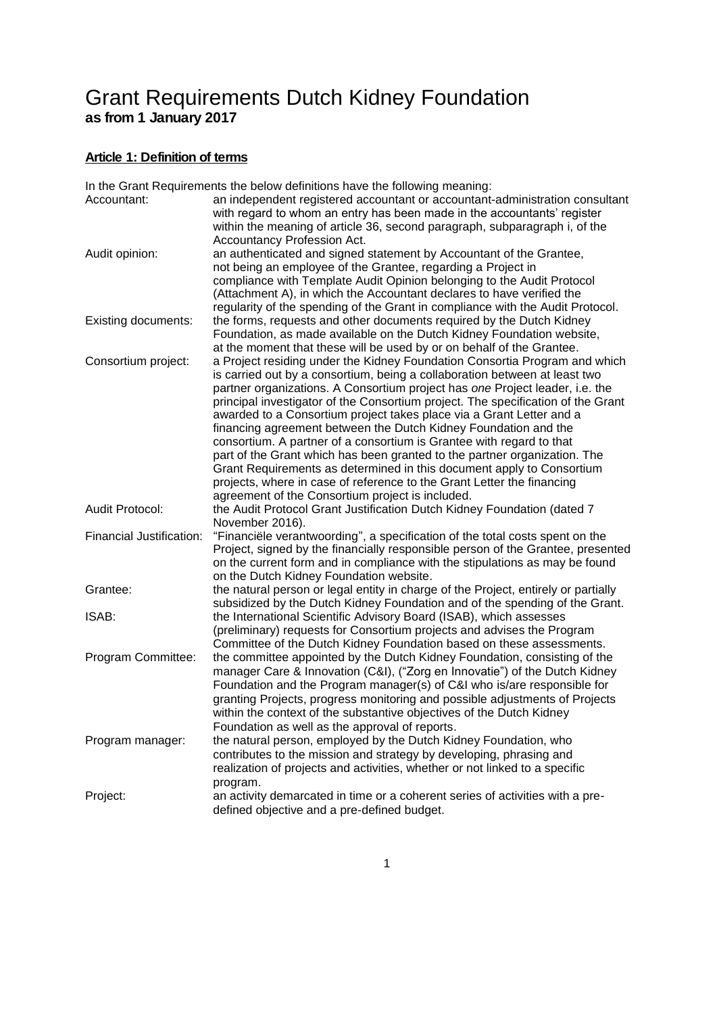# Grant Requirements Dutch Kidney Foundation **as from 1 January 2017**

# **Article 1: Definition of terms**

|                          | In the Grant Requirements the below definitions have the following meaning:        |
|--------------------------|------------------------------------------------------------------------------------|
| Accountant:              | an independent registered accountant or accountant-administration consultant       |
|                          | with regard to whom an entry has been made in the accountants' register            |
|                          | within the meaning of article 36, second paragraph, subparagraph i, of the         |
|                          | Accountancy Profession Act.                                                        |
| Audit opinion:           | an authenticated and signed statement by Accountant of the Grantee,                |
|                          | not being an employee of the Grantee, regarding a Project in                       |
|                          | compliance with Template Audit Opinion belonging to the Audit Protocol             |
|                          | (Attachment A), in which the Accountant declares to have verified the              |
|                          | regularity of the spending of the Grant in compliance with the Audit Protocol.     |
| Existing documents:      | the forms, requests and other documents required by the Dutch Kidney               |
|                          | Foundation, as made available on the Dutch Kidney Foundation website,              |
|                          | at the moment that these will be used by or on behalf of the Grantee.              |
| Consortium project:      | a Project residing under the Kidney Foundation Consortia Program and which         |
|                          | is carried out by a consortium, being a collaboration between at least two         |
|                          | partner organizations. A Consortium project has one Project leader, i.e. the       |
|                          | principal investigator of the Consortium project. The specification of the Grant   |
|                          | awarded to a Consortium project takes place via a Grant Letter and a               |
|                          | financing agreement between the Dutch Kidney Foundation and the                    |
|                          | consortium. A partner of a consortium is Grantee with regard to that               |
|                          | part of the Grant which has been granted to the partner organization. The          |
|                          | Grant Requirements as determined in this document apply to Consortium              |
|                          | projects, where in case of reference to the Grant Letter the financing             |
|                          | agreement of the Consortium project is included.                                   |
| Audit Protocol:          | the Audit Protocol Grant Justification Dutch Kidney Foundation (dated 7            |
|                          | November 2016).                                                                    |
| Financial Justification: | "Financiële verantwoording", a specification of the total costs spent on the       |
|                          | Project, signed by the financially responsible person of the Grantee, presented    |
|                          | on the current form and in compliance with the stipulations as may be found        |
|                          | on the Dutch Kidney Foundation website.                                            |
| Grantee:                 | the natural person or legal entity in charge of the Project, entirely or partially |
|                          | subsidized by the Dutch Kidney Foundation and of the spending of the Grant.        |
| ISAB:                    | the International Scientific Advisory Board (ISAB), which assesses                 |
|                          | (preliminary) requests for Consortium projects and advises the Program             |
|                          | Committee of the Dutch Kidney Foundation based on these assessments.               |
| Program Committee:       | the committee appointed by the Dutch Kidney Foundation, consisting of the          |
|                          | manager Care & Innovation (C&I), ("Zorg en Innovatie") of the Dutch Kidney         |
|                          | Foundation and the Program manager(s) of C&I who is/are responsible for            |
|                          | granting Projects, progress monitoring and possible adjustments of Projects        |
|                          | within the context of the substantive objectives of the Dutch Kidney               |
|                          | Foundation as well as the approval of reports.                                     |
| Program manager:         | the natural person, employed by the Dutch Kidney Foundation, who                   |
|                          | contributes to the mission and strategy by developing, phrasing and                |
|                          | realization of projects and activities, whether or not linked to a specific        |
|                          | program.                                                                           |
| Project:                 | an activity demarcated in time or a coherent series of activities with a pre-      |
|                          | defined objective and a pre-defined budget.                                        |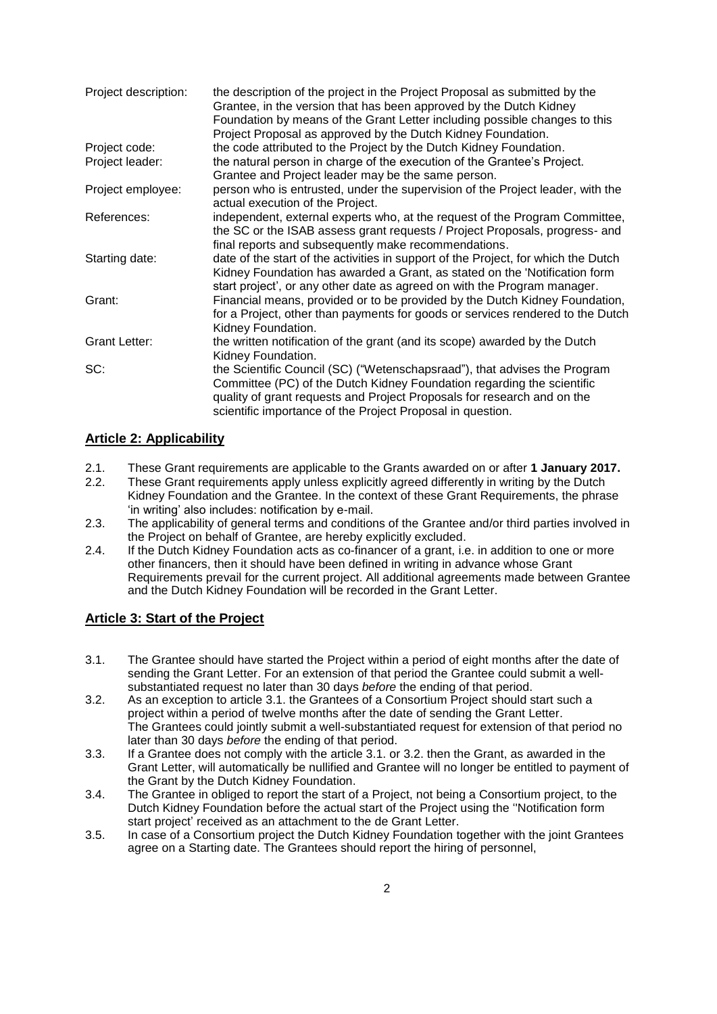| Project description: | the description of the project in the Project Proposal as submitted by the<br>Grantee, in the version that has been approved by the Dutch Kidney<br>Foundation by means of the Grant Letter including possible changes to this<br>Project Proposal as approved by the Dutch Kidney Foundation. |
|----------------------|------------------------------------------------------------------------------------------------------------------------------------------------------------------------------------------------------------------------------------------------------------------------------------------------|
| Project code:        | the code attributed to the Project by the Dutch Kidney Foundation.                                                                                                                                                                                                                             |
| Project leader:      | the natural person in charge of the execution of the Grantee's Project.<br>Grantee and Project leader may be the same person.                                                                                                                                                                  |
| Project employee:    | person who is entrusted, under the supervision of the Project leader, with the<br>actual execution of the Project.                                                                                                                                                                             |
| References:          | independent, external experts who, at the request of the Program Committee,<br>the SC or the ISAB assess grant requests / Project Proposals, progress- and<br>final reports and subsequently make recommendations.                                                                             |
| Starting date:       | date of the start of the activities in support of the Project, for which the Dutch<br>Kidney Foundation has awarded a Grant, as stated on the 'Notification form<br>start project', or any other date as agreed on with the Program manager.                                                   |
| Grant:               | Financial means, provided or to be provided by the Dutch Kidney Foundation,<br>for a Project, other than payments for goods or services rendered to the Dutch<br>Kidney Foundation.                                                                                                            |
| <b>Grant Letter:</b> | the written notification of the grant (and its scope) awarded by the Dutch<br>Kidney Foundation.                                                                                                                                                                                               |
| SC:                  | the Scientific Council (SC) ("Wetenschapsraad"), that advises the Program<br>Committee (PC) of the Dutch Kidney Foundation regarding the scientific<br>quality of grant requests and Project Proposals for research and on the<br>scientific importance of the Project Proposal in question.   |

# **Article 2: Applicability**

- 2.1. These Grant requirements are applicable to the Grants awarded on or after **1 January 2017.**
- 2.2. These Grant requirements apply unless explicitly agreed differently in writing by the Dutch Kidney Foundation and the Grantee. In the context of these Grant Requirements, the phrase 'in writing' also includes: notification by e-mail.
- 2.3. The applicability of general terms and conditions of the Grantee and/or third parties involved in the Project on behalf of Grantee, are hereby explicitly excluded.
- 2.4. If the Dutch Kidney Foundation acts as co-financer of a grant, i.e. in addition to one or more other financers, then it should have been defined in writing in advance whose Grant Requirements prevail for the current project. All additional agreements made between Grantee and the Dutch Kidney Foundation will be recorded in the Grant Letter.

# **Article 3: Start of the Project**

- 3.1. The Grantee should have started the Project within a period of eight months after the date of sending the Grant Letter. For an extension of that period the Grantee could submit a wellsubstantiated request no later than 30 days *before* the ending of that period.
- 3.2. As an exception to article 3.1. the Grantees of a Consortium Project should start such a project within a period of twelve months after the date of sending the Grant Letter. The Grantees could jointly submit a well-substantiated request for extension of that period no later than 30 days *before* the ending of that period.
- 3.3. If a Grantee does not comply with the article 3.1. or 3.2. then the Grant, as awarded in the Grant Letter, will automatically be nullified and Grantee will no longer be entitled to payment of the Grant by the Dutch Kidney Foundation.
- 3.4. The Grantee in obliged to report the start of a Project, not being a Consortium project, to the Dutch Kidney Foundation before the actual start of the Project using the ''Notification form start project' received as an attachment to the de Grant Letter.
- 3.5. In case of a Consortium project the Dutch Kidney Foundation together with the joint Grantees agree on a Starting date. The Grantees should report the hiring of personnel,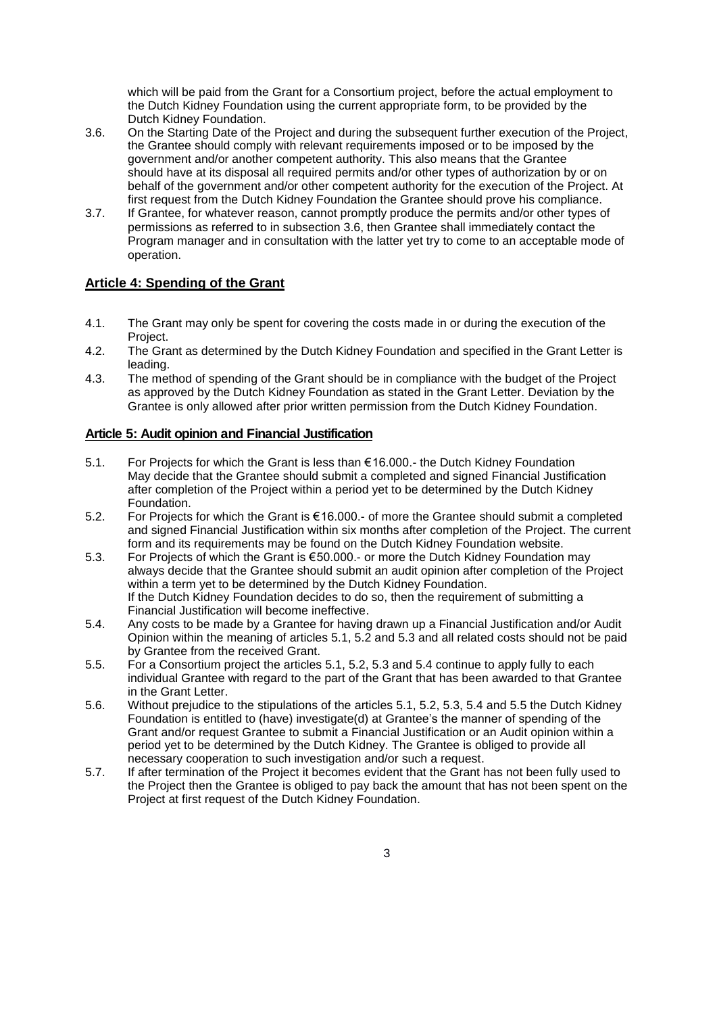which will be paid from the Grant for a Consortium project, before the actual employment to the Dutch Kidney Foundation using the current appropriate form, to be provided by the Dutch Kidney Foundation.

- 3.6. On the Starting Date of the Project and during the subsequent further execution of the Project, the Grantee should comply with relevant requirements imposed or to be imposed by the government and/or another competent authority. This also means that the Grantee should have at its disposal all required permits and/or other types of authorization by or on behalf of the government and/or other competent authority for the execution of the Project. At first request from the Dutch Kidney Foundation the Grantee should prove his compliance.
- 3.7. If Grantee, for whatever reason, cannot promptly produce the permits and/or other types of permissions as referred to in subsection 3.6, then Grantee shall immediately contact the Program manager and in consultation with the latter yet try to come to an acceptable mode of operation.

# **Article 4: Spending of the Grant**

- 4.1. The Grant may only be spent for covering the costs made in or during the execution of the Project.
- 4.2. The Grant as determined by the Dutch Kidney Foundation and specified in the Grant Letter is leading.
- 4.3. The method of spending of the Grant should be in compliance with the budget of the Project as approved by the Dutch Kidney Foundation as stated in the Grant Letter. Deviation by the Grantee is only allowed after prior written permission from the Dutch Kidney Foundation.

# **Article 5: Audit opinion and Financial Justification**

- 5.1. For Projects for which the Grant is less than € 16.000.- the Dutch Kidney Foundation May decide that the Grantee should submit a completed and signed Financial Justification after completion of the Project within a period yet to be determined by the Dutch Kidney Foundation.
- 5.2. For Projects for which the Grant is € 16.000.- of more the Grantee should submit a completed and signed Financial Justification within six months after completion of the Project. The current form and its requirements may be found on the Dutch Kidney Foundation website.
- 5.3. For Projects of which the Grant is € 50.000.- or more the Dutch Kidney Foundation may always decide that the Grantee should submit an audit opinion after completion of the Project within a term yet to be determined by the Dutch Kidney Foundation. If the Dutch Kidney Foundation decides to do so, then the requirement of submitting a Financial Justification will become ineffective.
- 5.4. Any costs to be made by a Grantee for having drawn up a Financial Justification and/or Audit Opinion within the meaning of articles 5.1, 5.2 and 5.3 and all related costs should not be paid by Grantee from the received Grant.
- 5.5. For a Consortium project the articles 5.1, 5.2, 5.3 and 5.4 continue to apply fully to each individual Grantee with regard to the part of the Grant that has been awarded to that Grantee in the Grant Letter.
- 5.6. Without prejudice to the stipulations of the articles 5.1, 5.2, 5.3, 5.4 and 5.5 the Dutch Kidney Foundation is entitled to (have) investigate(d) at Grantee's the manner of spending of the Grant and/or request Grantee to submit a Financial Justification or an Audit opinion within a period yet to be determined by the Dutch Kidney. The Grantee is obliged to provide all necessary cooperation to such investigation and/or such a request.
- 5.7. If after termination of the Project it becomes evident that the Grant has not been fully used to the Project then the Grantee is obliged to pay back the amount that has not been spent on the Project at first request of the Dutch Kidney Foundation.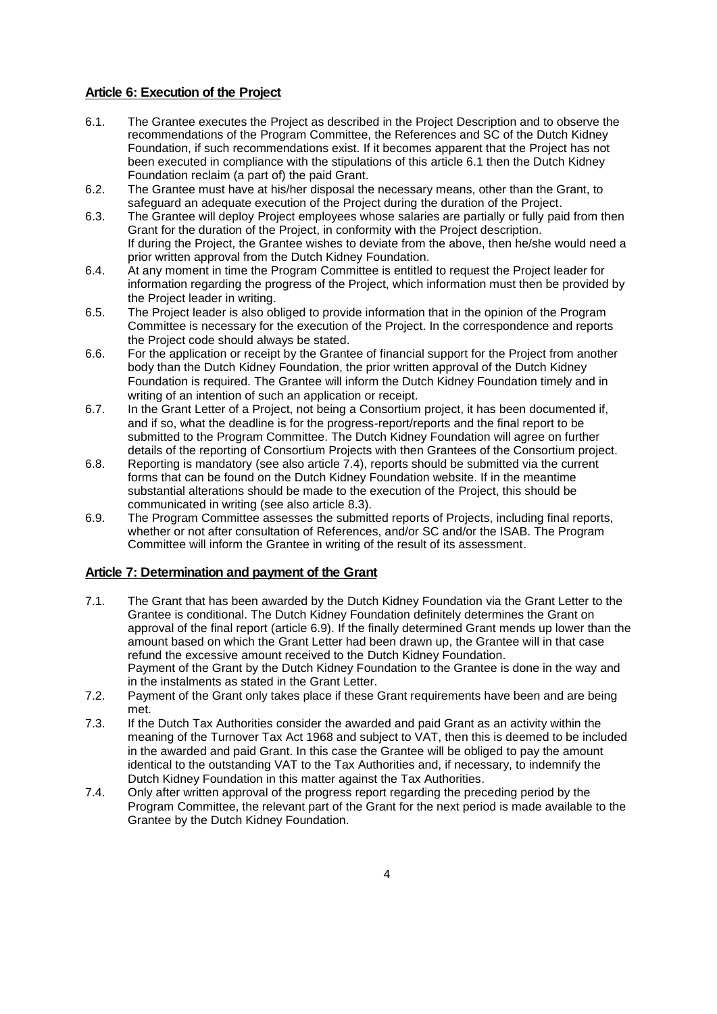# **Article 6: Execution of the Project**

- 6.1. The Grantee executes the Project as described in the Project Description and to observe the recommendations of the Program Committee, the References and SC of the Dutch Kidney Foundation, if such recommendations exist. If it becomes apparent that the Project has not been executed in compliance with the stipulations of this article 6.1 then the Dutch Kidney Foundation reclaim (a part of) the paid Grant.
- 6.2. The Grantee must have at his/her disposal the necessary means, other than the Grant, to safeguard an adequate execution of the Project during the duration of the Project.
- 6.3. The Grantee will deploy Project employees whose salaries are partially or fully paid from then Grant for the duration of the Project, in conformity with the Project description. If during the Project, the Grantee wishes to deviate from the above, then he/she would need a prior written approval from the Dutch Kidney Foundation.
- 6.4. At any moment in time the Program Committee is entitled to request the Project leader for information regarding the progress of the Project, which information must then be provided by the Project leader in writing.
- 6.5. The Project leader is also obliged to provide information that in the opinion of the Program Committee is necessary for the execution of the Project. In the correspondence and reports the Project code should always be stated.
- 6.6. For the application or receipt by the Grantee of financial support for the Project from another body than the Dutch Kidney Foundation, the prior written approval of the Dutch Kidney Foundation is required. The Grantee will inform the Dutch Kidney Foundation timely and in writing of an intention of such an application or receipt.
- 6.7. In the Grant Letter of a Project, not being a Consortium project, it has been documented if, and if so, what the deadline is for the progress-report/reports and the final report to be submitted to the Program Committee. The Dutch Kidney Foundation will agree on further details of the reporting of Consortium Projects with then Grantees of the Consortium project.
- 6.8. Reporting is mandatory (see also article 7.4), reports should be submitted via the current forms that can be found on the Dutch Kidney Foundation website. If in the meantime substantial alterations should be made to the execution of the Project, this should be communicated in writing (see also article 8.3).
- 6.9. The Program Committee assesses the submitted reports of Projects, including final reports, whether or not after consultation of References, and/or SC and/or the ISAB. The Program Committee will inform the Grantee in writing of the result of its assessment.

#### **Article 7: Determination and payment of the Grant**

- 7.1. The Grant that has been awarded by the Dutch Kidney Foundation via the Grant Letter to the Grantee is conditional. The Dutch Kidney Foundation definitely determines the Grant on approval of the final report (article 6.9). If the finally determined Grant mends up lower than the amount based on which the Grant Letter had been drawn up, the Grantee will in that case refund the excessive amount received to the Dutch Kidney Foundation. Payment of the Grant by the Dutch Kidney Foundation to the Grantee is done in the way and in the instalments as stated in the Grant Letter.
- 7.2. Payment of the Grant only takes place if these Grant requirements have been and are being met.
- 7.3. If the Dutch Tax Authorities consider the awarded and paid Grant as an activity within the meaning of the Turnover Tax Act 1968 and subject to VAT, then this is deemed to be included in the awarded and paid Grant. In this case the Grantee will be obliged to pay the amount identical to the outstanding VAT to the Tax Authorities and, if necessary, to indemnify the Dutch Kidney Foundation in this matter against the Tax Authorities.
- 7.4. Only after written approval of the progress report regarding the preceding period by the Program Committee, the relevant part of the Grant for the next period is made available to the Grantee by the Dutch Kidney Foundation.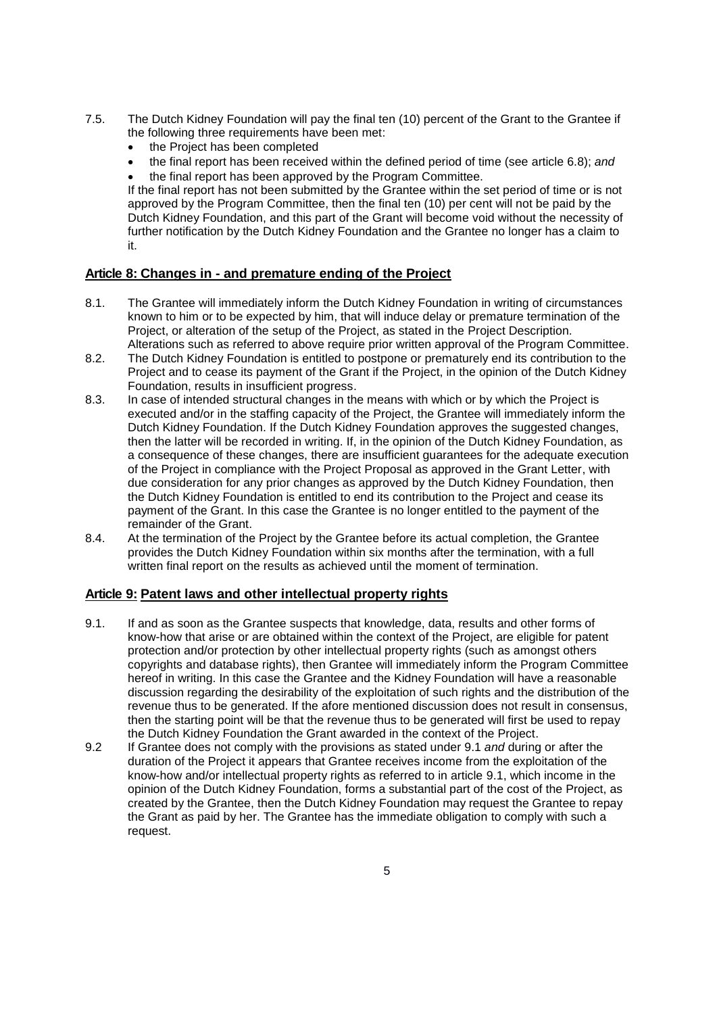- 7.5. The Dutch Kidney Foundation will pay the final ten (10) percent of the Grant to the Grantee if the following three requirements have been met:
	- the Project has been completed
	- the final report has been received within the defined period of time (see article 6.8); *and*

 the final report has been approved by the Program Committee. If the final report has not been submitted by the Grantee within the set period of time or is not approved by the Program Committee, then the final ten (10) per cent will not be paid by the Dutch Kidney Foundation, and this part of the Grant will become void without the necessity of further notification by the Dutch Kidney Foundation and the Grantee no longer has a claim to it.

# **Article 8: Changes in - and premature ending of the Project**

- 8.1. The Grantee will immediately inform the Dutch Kidney Foundation in writing of circumstances known to him or to be expected by him, that will induce delay or premature termination of the Project, or alteration of the setup of the Project, as stated in the Project Description. Alterations such as referred to above require prior written approval of the Program Committee.
- 8.2. The Dutch Kidney Foundation is entitled to postpone or prematurely end its contribution to the Project and to cease its payment of the Grant if the Project, in the opinion of the Dutch Kidney Foundation, results in insufficient progress.
- 8.3. In case of intended structural changes in the means with which or by which the Project is executed and/or in the staffing capacity of the Project, the Grantee will immediately inform the Dutch Kidney Foundation. If the Dutch Kidney Foundation approves the suggested changes, then the latter will be recorded in writing. If, in the opinion of the Dutch Kidney Foundation, as a consequence of these changes, there are insufficient guarantees for the adequate execution of the Project in compliance with the Project Proposal as approved in the Grant Letter, with due consideration for any prior changes as approved by the Dutch Kidney Foundation, then the Dutch Kidney Foundation is entitled to end its contribution to the Project and cease its payment of the Grant. In this case the Grantee is no longer entitled to the payment of the remainder of the Grant.
- 8.4. At the termination of the Project by the Grantee before its actual completion, the Grantee provides the Dutch Kidney Foundation within six months after the termination, with a full written final report on the results as achieved until the moment of termination.

#### **Article 9: Patent laws and other intellectual property rights**

- 9.1. If and as soon as the Grantee suspects that knowledge, data, results and other forms of know-how that arise or are obtained within the context of the Project, are eligible for patent protection and/or protection by other intellectual property rights (such as amongst others copyrights and database rights), then Grantee will immediately inform the Program Committee hereof in writing. In this case the Grantee and the Kidney Foundation will have a reasonable discussion regarding the desirability of the exploitation of such rights and the distribution of the revenue thus to be generated. If the afore mentioned discussion does not result in consensus, then the starting point will be that the revenue thus to be generated will first be used to repay the Dutch Kidney Foundation the Grant awarded in the context of the Project.
- 9.2 If Grantee does not comply with the provisions as stated under 9.1 *and* during or after the duration of the Project it appears that Grantee receives income from the exploitation of the know-how and/or intellectual property rights as referred to in article 9.1, which income in the opinion of the Dutch Kidney Foundation, forms a substantial part of the cost of the Project, as created by the Grantee, then the Dutch Kidney Foundation may request the Grantee to repay the Grant as paid by her. The Grantee has the immediate obligation to comply with such a request.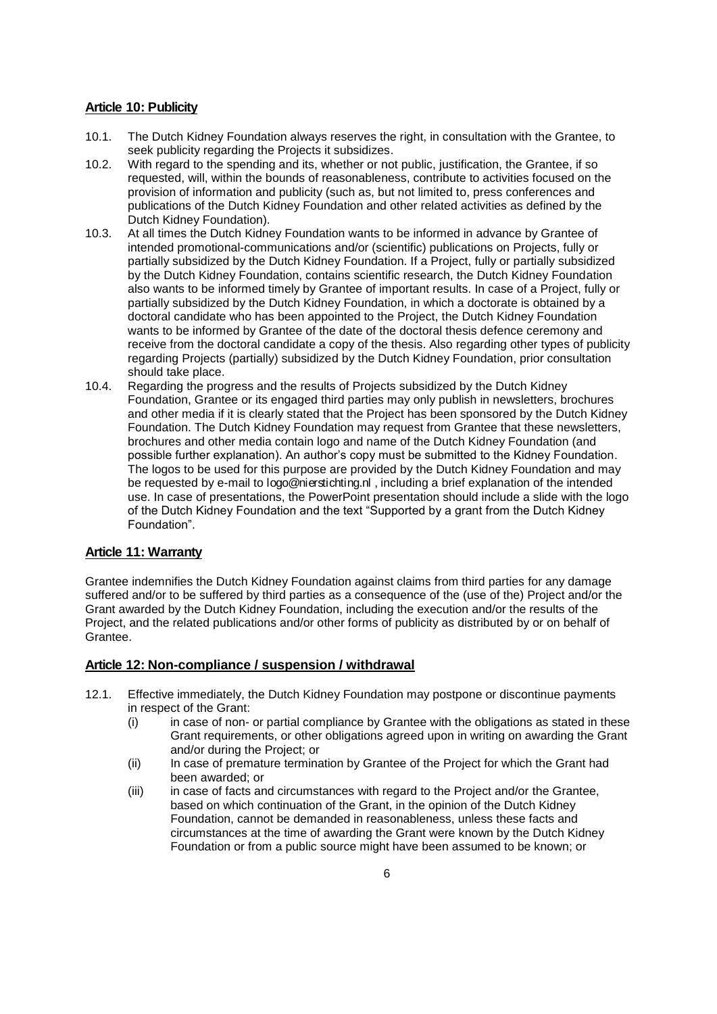# **Article 10: Publicity**

- 10.1. The Dutch Kidney Foundation always reserves the right, in consultation with the Grantee, to seek publicity regarding the Projects it subsidizes.
- 10.2. With regard to the spending and its, whether or not public, justification, the Grantee, if so requested, will, within the bounds of reasonableness, contribute to activities focused on the provision of information and publicity (such as, but not limited to, press conferences and publications of the Dutch Kidney Foundation and other related activities as defined by the Dutch Kidney Foundation).
- 10.3. At all times the Dutch Kidney Foundation wants to be informed in advance by Grantee of intended promotional-communications and/or (scientific) publications on Projects, fully or partially subsidized by the Dutch Kidney Foundation. If a Project, fully or partially subsidized by the Dutch Kidney Foundation, contains scientific research, the Dutch Kidney Foundation also wants to be informed timely by Grantee of important results. In case of a Project, fully or partially subsidized by the Dutch Kidney Foundation, in which a doctorate is obtained by a doctoral candidate who has been appointed to the Project, the Dutch Kidney Foundation wants to be informed by Grantee of the date of the doctoral thesis defence ceremony and receive from the doctoral candidate a copy of the thesis. Also regarding other types of publicity regarding Projects (partially) subsidized by the Dutch Kidney Foundation, prior consultation should take place.
- 10.4. Regarding the progress and the results of Projects subsidized by the Dutch Kidney Foundation, Grantee or its engaged third parties may only publish in newsletters, brochures and other media if it is clearly stated that the Project has been sponsored by the Dutch Kidney Foundation. The Dutch Kidney Foundation may request from Grantee that these newsletters, brochures and other media contain logo and name of the Dutch Kidney Foundation (and possible further explanation). An author's copy must be submitted to the Kidney Foundation. The logos to be used for this purpose are provided by the Dutch Kidney Foundation and may be requested by e-mail to logo@nierstichting.nl , including a brief explanation of the intended use. In case of presentations, the PowerPoint presentation should include a slide with the logo of the Dutch Kidney Foundation and the text "Supported by a grant from the Dutch Kidney Foundation".

#### **Article 11: Warranty**

Grantee indemnifies the Dutch Kidney Foundation against claims from third parties for any damage suffered and/or to be suffered by third parties as a consequence of the (use of the) Project and/or the Grant awarded by the Dutch Kidney Foundation, including the execution and/or the results of the Project, and the related publications and/or other forms of publicity as distributed by or on behalf of Grantee.

#### **Article 12: Non-compliance / suspension / withdrawal**

- 12.1. Effective immediately, the Dutch Kidney Foundation may postpone or discontinue payments in respect of the Grant:
	- $(i)$  in case of non- or partial compliance by Grantee with the obligations as stated in these Grant requirements, or other obligations agreed upon in writing on awarding the Grant and/or during the Project; or
	- (ii) In case of premature termination by Grantee of the Project for which the Grant had been awarded; or
	- (iii) in case of facts and circumstances with regard to the Project and/or the Grantee, based on which continuation of the Grant, in the opinion of the Dutch Kidney Foundation, cannot be demanded in reasonableness, unless these facts and circumstances at the time of awarding the Grant were known by the Dutch Kidney Foundation or from a public source might have been assumed to be known; or